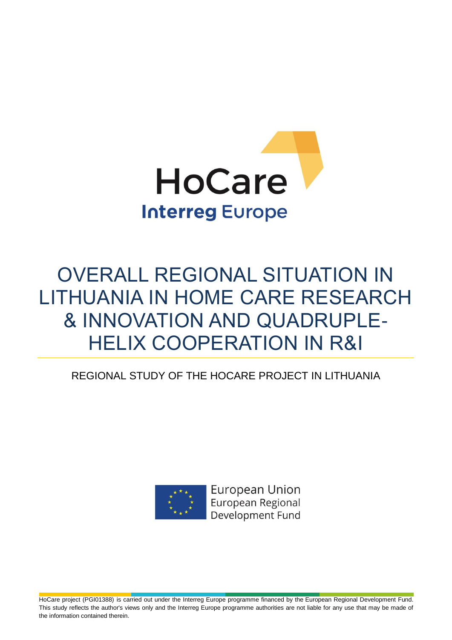

# OVERALL REGIONAL SITUATION IN LITHUANIA IN HOME CARE RESEARCH & INNOVATION AND QUADRUPLE-HELIX COOPERATION IN R&I

### REGIONAL STUDY OF THE HOCARE PROJECT IN LITHUANIA



**European Union** European Regional Development Fund

HoCare project (PGI01388) is carried out under the Interreg Europe programme financed by the European Regional Development Fund. This study reflects the author's views only and the Interreg Europe programme authorities are not liable for any use that may be made of the information contained therein.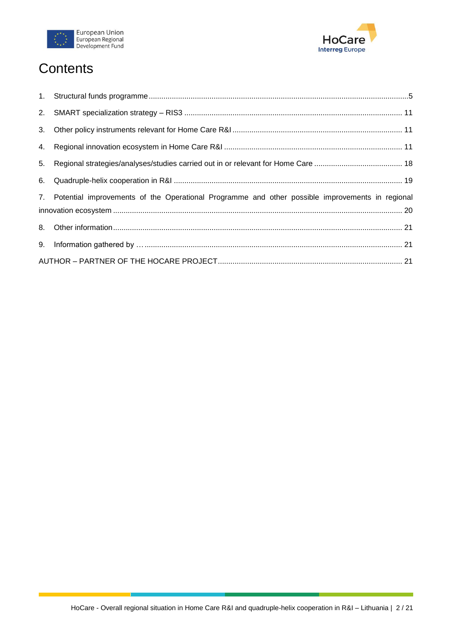



# **Contents**

| 7. Potential improvements of the Operational Programme and other possible improvements in regional |
|----------------------------------------------------------------------------------------------------|
|                                                                                                    |
|                                                                                                    |
|                                                                                                    |
|                                                                                                    |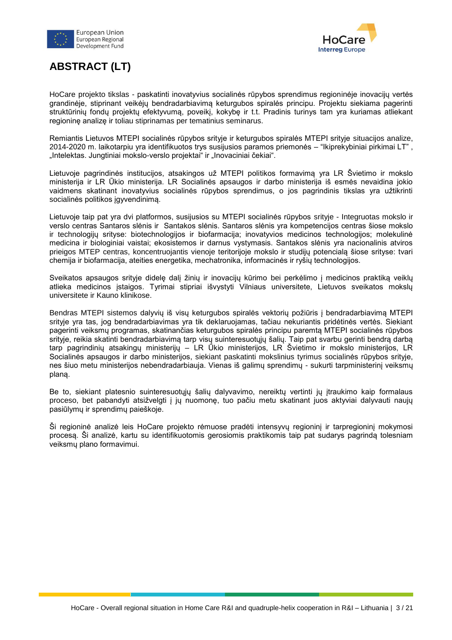



### **ABSTRACT (LT)**

HoCare projekto tikslas - paskatinti inovatyvius socialinės rūpybos sprendimus regioninėje inovacijų vertės grandinėje, stiprinant veikėjų bendradarbiavimą keturgubos spiralės principu. Projektu siekiama pagerinti struktūrinių fondų projektų efektyvumą, poveikį, kokybę ir t.t. Pradinis turinys tam yra kuriamas atliekant regioninę analizę ir toliau stiprinamas per tematinius seminarus.

Remiantis Lietuvos MTEPI socialinės rūpybos srityje ir keturgubos spiralės MTEPI srityje situacijos analize, 2014-2020 m. laikotarpiu yra identifikuotos trys susijusios paramos priemonės – "Ikiprekybiniai pirkimai LT" , "Intelektas. Jungtiniai mokslo-verslo projektai" ir "Inovaciniai čekiai".

Lietuvoje pagrindinės institucijos, atsakingos už MTEPI politikos formavimą yra LR Švietimo ir mokslo ministerija ir LR Ūkio ministerija. LR Socialinės apsaugos ir darbo ministerija iš esmės nevaidina jokio vaidmens skatinant inovatyvius socialinės rūpybos sprendimus, o jos pagrindinis tikslas yra užtikrinti socialinės politikos įgyvendinimą.

Lietuvoje taip pat yra dvi platformos, susijusios su MTEPI socialinės rūpybos srityje - Integruotas mokslo ir verslo centras Santaros slėnis ir Santakos slėnis. Santaros slėnis yra kompetencijos centras šiose mokslo ir technologijų srityse: biotechnologijos ir biofarmacija; inovatyvios medicinos technologijos; molekulinė medicina ir biologiniai vaistai; ekosistemos ir darnus vystymasis. Santakos slėnis yra nacionalinis atviros prieigos MTEP centras, koncentruojantis vienoje teritorijoje mokslo ir studijų potencialą šiose srityse: tvari chemija ir biofarmacija, ateities energetika, mechatronika, informacinės ir ryšių technologijos.

Sveikatos apsaugos srityje didelę dalį žinių ir inovacijų kūrimo bei perkėlimo į medicinos praktiką veiklų atlieka medicinos įstaigos. Tyrimai stipriai išvystyti Vilniaus universitete, Lietuvos sveikatos mokslų universitete ir Kauno klinikose.

Bendras MTEPI sistemos dalyvių iš visų keturgubos spiralės vektorių požiūris į bendradarbiavimą MTEPI srityje yra tas, jog bendradarbiavimas yra tik deklaruojamas, tačiau nekuriantis pridėtinės vertės. Siekiant pagerinti veiksmų programas, skatinančias keturgubos spiralės principu paremtą MTEPI socialinės rūpybos srityje, reikia skatinti bendradarbiavimą tarp visų suinteresuotųjų šalių. Taip pat svarbu gerinti bendrą darbą tarp pagrindinių atsakingų ministerijų – LR Ūkio ministerijos, LR Švietimo ir mokslo ministerijos, LR Socialinės apsaugos ir darbo ministerijos, siekiant paskatinti mokslinius tyrimus socialinės rūpybos srityje, nes šiuo metu ministerijos nebendradarbiauja. Vienas iš galimų sprendimų - sukurti tarpministerinį veiksmų planą.

Be to, siekiant platesnio suinteresuotųjų šalių dalyvavimo, nereiktų vertinti jų įtraukimo kaip formalaus proceso, bet pabandyti atsižvelgti į jų nuomonę, tuo pačiu metu skatinant juos aktyviai dalyvauti naujų pasiūlymų ir sprendimų paieškoje.

Ši regioninė analizė leis HoCare projekto rėmuose pradėti intensyvų regioninį ir tarpregioninį mokymosi procesą. Ši analizė, kartu su identifikuotomis gerosiomis praktikomis taip pat sudarys pagrindą tolesniam veiksmų plano formavimui.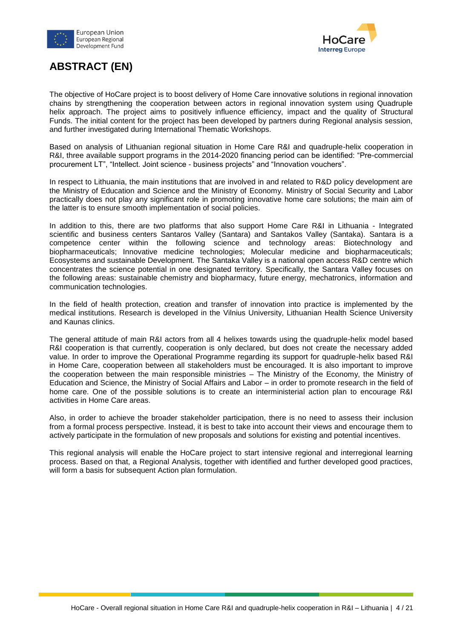



### **ABSTRACT (EN)**

The objective of HoCare project is to boost delivery of Home Care innovative solutions in regional innovation chains by strengthening the cooperation between actors in regional innovation system using Quadruple helix approach. The project aims to positively influence efficiency, impact and the quality of Structural Funds. The initial content for the project has been developed by partners during Regional analysis session, and further investigated during International Thematic Workshops.

Based on analysis of Lithuanian regional situation in Home Care R&I and quadruple-helix cooperation in R&I, three available support programs in the 2014-2020 financing period can be identified: "Pre-commercial procurement LT", "Intellect. Joint science - business projects" and "Innovation vouchers".

In respect to Lithuania, the main institutions that are involved in and related to R&D policy development are the Ministry of Education and Science and the Ministry of Economy. Ministry of Social Security and Labor practically does not play any significant role in promoting innovative home care solutions; the main aim of the latter is to ensure smooth implementation of social policies.

In addition to this, there are two platforms that also support Home Care R&I in Lithuania - Integrated scientific and business centers Santaros Valley (Santara) and Santakos Valley (Santaka). Santara is a competence center within the following science and technology areas: Biotechnology and biopharmaceuticals; Innovative medicine technologies; Molecular medicine and biopharmaceuticals; Ecosystems and sustainable Development. The Santaka Valley is a national open access R&D centre which concentrates the science potential in one designated territory. Specifically, the Santara Valley focuses on the following areas: sustainable chemistry and biopharmacy, future energy, mechatronics, information and communication technologies.

In the field of health protection, creation and transfer of innovation into practice is implemented by the medical institutions. Research is developed in the Vilnius University, Lithuanian Health Science University and Kaunas clinics.

The general attitude of main R&I actors from all 4 helixes towards using the quadruple-helix model based R&I cooperation is that currently, cooperation is only declared, but does not create the necessary added value. In order to improve the Operational Programme regarding its support for quadruple-helix based R&I in Home Care, cooperation between all stakeholders must be encouraged. It is also important to improve the cooperation between the main responsible ministries – The Ministry of the Economy, the Ministry of Education and Science, the Ministry of Social Affairs and Labor – in order to promote research in the field of home care. One of the possible solutions is to create an interministerial action plan to encourage R&I activities in Home Care areas.

Also, in order to achieve the broader stakeholder participation, there is no need to assess their inclusion from a formal process perspective. Instead, it is best to take into account their views and encourage them to actively participate in the formulation of new proposals and solutions for existing and potential incentives.

This regional analysis will enable the HoCare project to start intensive regional and interregional learning process. Based on that, a Regional Analysis, together with identified and further developed good practices, will form a basis for subsequent Action plan formulation.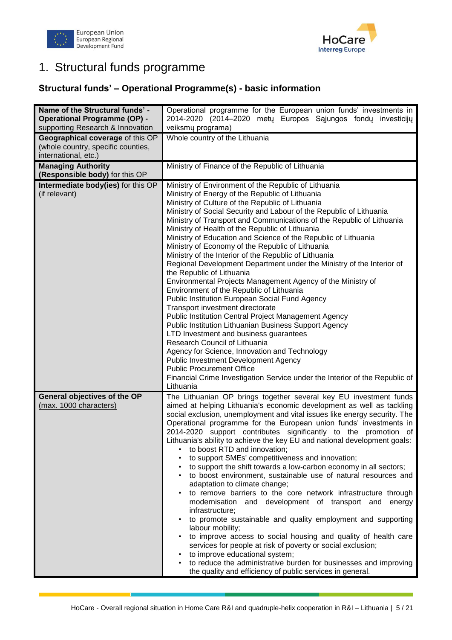



# <span id="page-4-0"></span>1. Structural funds programme

#### **Structural funds' – Operational Programme(s) - basic information**

| Name of the Structural funds' -<br><b>Operational Programme (OP) -</b><br>supporting Research & Innovation | Operational programme for the European union funds' investments in<br>2014-2020 (2014–2020 metų Europos Sąjungos fondų investicijų<br>veiksmų programa)                                                                                                                                                                                                                                                                                                                                                                                                                                                                                                                                                                                                                                                                                                                                                                                                                                                                                                                                                                                                                                                                                                                                 |
|------------------------------------------------------------------------------------------------------------|-----------------------------------------------------------------------------------------------------------------------------------------------------------------------------------------------------------------------------------------------------------------------------------------------------------------------------------------------------------------------------------------------------------------------------------------------------------------------------------------------------------------------------------------------------------------------------------------------------------------------------------------------------------------------------------------------------------------------------------------------------------------------------------------------------------------------------------------------------------------------------------------------------------------------------------------------------------------------------------------------------------------------------------------------------------------------------------------------------------------------------------------------------------------------------------------------------------------------------------------------------------------------------------------|
| Geographical coverage of this OP<br>(whole country, specific counties,<br>international, etc.)             | Whole country of the Lithuania                                                                                                                                                                                                                                                                                                                                                                                                                                                                                                                                                                                                                                                                                                                                                                                                                                                                                                                                                                                                                                                                                                                                                                                                                                                          |
| <b>Managing Authority</b>                                                                                  | Ministry of Finance of the Republic of Lithuania                                                                                                                                                                                                                                                                                                                                                                                                                                                                                                                                                                                                                                                                                                                                                                                                                                                                                                                                                                                                                                                                                                                                                                                                                                        |
| (Responsible body) for this OP<br>Intermediate body(ies) for this OP<br>(if relevant)                      | Ministry of Environment of the Republic of Lithuania<br>Ministry of Energy of the Republic of Lithuania<br>Ministry of Culture of the Republic of Lithuania<br>Ministry of Social Security and Labour of the Republic of Lithuania<br>Ministry of Transport and Communications of the Republic of Lithuania<br>Ministry of Health of the Republic of Lithuania<br>Ministry of Education and Science of the Republic of Lithuania<br>Ministry of Economy of the Republic of Lithuania<br>Ministry of the Interior of the Republic of Lithuania<br>Regional Development Department under the Ministry of the Interior of<br>the Republic of Lithuania<br>Environmental Projects Management Agency of the Ministry of<br>Environment of the Republic of Lithuania<br>Public Institution European Social Fund Agency<br>Transport investment directorate<br><b>Public Institution Central Project Management Agency</b><br>Public Institution Lithuanian Business Support Agency<br>LTD Investment and business guarantees<br>Research Council of Lithuania<br>Agency for Science, Innovation and Technology<br><b>Public Investment Development Agency</b><br><b>Public Procurement Office</b><br>Financial Crime Investigation Service under the Interior of the Republic of<br>Lithuania |
| General objectives of the OP<br>(max. 1000 characters)                                                     | The Lithuanian OP brings together several key EU investment funds<br>aimed at helping Lithuania's economic development as well as tackling<br>social exclusion, unemployment and vital issues like energy security. The<br>Operational programme for the European union funds' investments in<br>2014-2020 support contributes significantly to the promotion of<br>Lithuania's ability to achieve the key EU and national development goals:<br>to boost RTD and innovation;<br>to support SMEs' competitiveness and innovation;<br>to support the shift towards a low-carbon economy in all sectors;<br>to boost environment, sustainable use of natural resources and<br>adaptation to climate change;<br>to remove barriers to the core network infrastructure through<br>$\bullet$<br>and development of transport and<br>modernisation<br>energy<br>infrastructure;<br>to promote sustainable and quality employment and supporting<br>labour mobility;<br>to improve access to social housing and quality of health care<br>services for people at risk of poverty or social exclusion;<br>to improve educational system;<br>to reduce the administrative burden for businesses and improving<br>the quality and efficiency of public services in general.                       |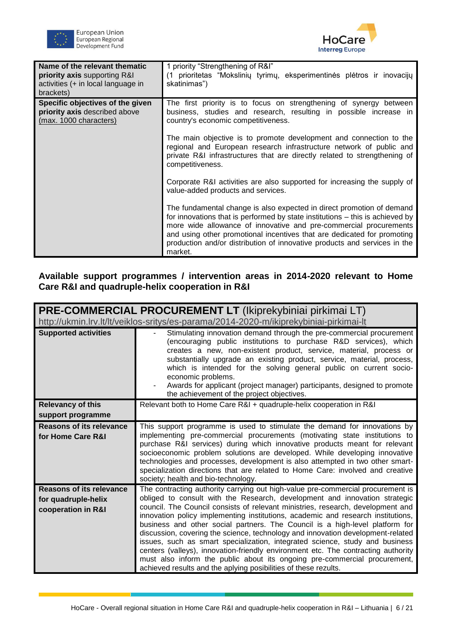



| Name of the relevant thematic<br>priority axis supporting R&I<br>activities (+ in local language in<br>brackets) | 1 priority "Strengthening of R&I"<br>(1 prioritetas "Mokslinių tyrimų, eksperimentinės plėtros ir inovacijų<br>skatinimas")                                                                                                                                                                                                                                                                    |
|------------------------------------------------------------------------------------------------------------------|------------------------------------------------------------------------------------------------------------------------------------------------------------------------------------------------------------------------------------------------------------------------------------------------------------------------------------------------------------------------------------------------|
| Specific objectives of the given<br>priority axis described above<br>(max. 1000 characters)                      | The first priority is to focus on strengthening of synergy between<br>business, studies and research, resulting in possible increase in<br>country's economic competitiveness.                                                                                                                                                                                                                 |
|                                                                                                                  | The main objective is to promote development and connection to the<br>regional and European research infrastructure network of public and<br>private R&I infrastructures that are directly related to strengthening of<br>competitiveness.                                                                                                                                                     |
|                                                                                                                  | Corporate R&I activities are also supported for increasing the supply of<br>value-added products and services.                                                                                                                                                                                                                                                                                 |
|                                                                                                                  | The fundamental change is also expected in direct promotion of demand<br>for innovations that is performed by state institutions – this is achieved by<br>more wide allowance of innovative and pre-commercial procurements<br>and using other promotional incentives that are dedicated for promoting<br>production and/or distribution of innovative products and services in the<br>market. |

#### **Available support programmes / intervention areas in 2014-2020 relevant to Home Care R&I and quadruple-helix cooperation in R&I**

| <b>PRE-COMMERCIAL PROCUREMENT LT (Ikiprekybiniai pirkimai LT)</b>                      |                                                                                                                                                                                                                                                                                                                                                                                                                                                                                                                                                                                                                                                                                                                                                                                                                              |  |
|----------------------------------------------------------------------------------------|------------------------------------------------------------------------------------------------------------------------------------------------------------------------------------------------------------------------------------------------------------------------------------------------------------------------------------------------------------------------------------------------------------------------------------------------------------------------------------------------------------------------------------------------------------------------------------------------------------------------------------------------------------------------------------------------------------------------------------------------------------------------------------------------------------------------------|--|
| http://ukmin.lrv.lt/lt/veiklos-sritys/es-parama/2014-2020-m/ikiprekybiniai-pirkimai-lt |                                                                                                                                                                                                                                                                                                                                                                                                                                                                                                                                                                                                                                                                                                                                                                                                                              |  |
| <b>Supported activities</b>                                                            | Stimulating innovation demand through the pre-commercial procurement<br>(encouraging public institutions to purchase R&D services), which<br>creates a new, non-existent product, service, material, process or<br>substantially upgrade an existing product, service, material, process,<br>which is intended for the solving general public on current socio-<br>economic problems.<br>Awards for applicant (project manager) participants, designed to promote<br>the achievement of the project objectives.                                                                                                                                                                                                                                                                                                              |  |
| <b>Relevancy of this</b><br>support programme                                          | Relevant both to Home Care R&I + quadruple-helix cooperation in R&I                                                                                                                                                                                                                                                                                                                                                                                                                                                                                                                                                                                                                                                                                                                                                          |  |
| <b>Reasons of its relevance</b><br>for Home Care R&I                                   | This support programme is used to stimulate the demand for innovations by<br>implementing pre-commercial procurements (motivating state institutions to<br>purchase R&I services) during which innovative products meant for relevant<br>socioeconomic problem solutions are developed. While developing innovative<br>technologies and processes, development is also attempted in two other smart-<br>specialization directions that are related to Home Care: involved and creative<br>society; health and bio-technology.                                                                                                                                                                                                                                                                                                |  |
| <b>Reasons of its relevance</b><br>for quadruple-helix<br>cooperation in R&I           | The contracting authority carrying out high-value pre-commercial procurement is<br>obliged to consult with the Research, development and innovation strategic<br>council. The Council consists of relevant ministries, research, development and<br>innovation policy implementing institutions, academic and research institutions,<br>business and other social partners. The Council is a high-level platform for<br>discussion, covering the science, technology and innovation development-related<br>issues, such as smart specialization, integrated science, study and business<br>centers (valleys), innovation-friendly environment etc. The contracting authority<br>must also inform the public about its ongoing pre-commercial procurement,<br>achieved results and the aplying posibilities of these rezults. |  |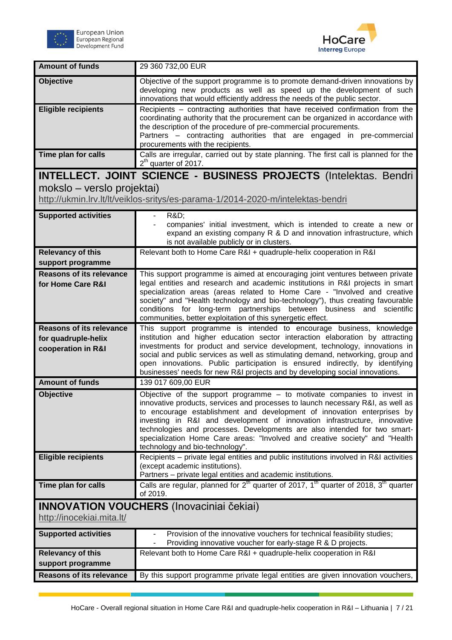



| <b>Amount of funds</b>                                                       | 29 360 732,00 EUR                                                                                                                                                                                                                                                                                                                                                                                                                                                                                                   |
|------------------------------------------------------------------------------|---------------------------------------------------------------------------------------------------------------------------------------------------------------------------------------------------------------------------------------------------------------------------------------------------------------------------------------------------------------------------------------------------------------------------------------------------------------------------------------------------------------------|
| Objective                                                                    | Objective of the support programme is to promote demand-driven innovations by<br>developing new products as well as speed up the development of such<br>innovations that would efficiently address the needs of the public sector.                                                                                                                                                                                                                                                                                  |
| <b>Eligible recipients</b>                                                   | Recipients – contracting authorities that have received confirmation from the<br>coordinating authority that the procurement can be organized in accordance with<br>the description of the procedure of pre-commercial procurements.<br>Partners - contracting authorities that are engaged in pre-commercial<br>procurements with the recipients.                                                                                                                                                                  |
| Time plan for calls                                                          | Calls are irregular, carried out by state planning. The first call is planned for the<br>$2th$ quarter of 2017.                                                                                                                                                                                                                                                                                                                                                                                                     |
|                                                                              | <b>INTELLECT. JOINT SCIENCE - BUSINESS PROJECTS (Intelektas. Bendri</b>                                                                                                                                                                                                                                                                                                                                                                                                                                             |
| mokslo – verslo projektai)                                                   |                                                                                                                                                                                                                                                                                                                                                                                                                                                                                                                     |
|                                                                              | http://ukmin.lrv.lt/lt/veiklos-sritys/es-parama-1/2014-2020-m/intelektas-bendri                                                                                                                                                                                                                                                                                                                                                                                                                                     |
| <b>Supported activities</b>                                                  | <b>R&amp;D:</b><br>$\overline{\phantom{a}}$<br>companies' initial investment, which is intended to create a new or<br>expand an existing company R & D and innovation infrastructure, which<br>is not available publicly or in clusters.                                                                                                                                                                                                                                                                            |
| <b>Relevancy of this</b><br>support programme                                | Relevant both to Home Care R&I + quadruple-helix cooperation in R&I                                                                                                                                                                                                                                                                                                                                                                                                                                                 |
| <b>Reasons of its relevance</b><br>for Home Care R&I                         | This support programme is aimed at encouraging joint ventures between private<br>legal entities and research and academic institutions in R&I projects in smart<br>specialization areas (areas related to Home Care - "Involved and creative<br>society" and "Health technology and bio-technology"), thus creating favourable<br>conditions for long-term partnerships between business and scientific<br>communities, better exploitation of this synergetic effect.                                              |
| <b>Reasons of its relevance</b><br>for quadruple-helix<br>cooperation in R&I | This support programme is intended to encourage business, knowledge<br>institution and higher education sector interaction elaboration by attracting<br>investments for product and service development, technology, innovations in<br>social and public services as well as stimulating demand, networking, group and<br>open innovations. Public participation is ensured indirectly, by identifying<br>businesses' needs for new R&I projects and by developing social innovations.                              |
| <b>Amount of funds</b>                                                       | 139 017 609,00 EUR                                                                                                                                                                                                                                                                                                                                                                                                                                                                                                  |
| <b>Objective</b>                                                             | Objective of the support programme $-$ to motivate companies to invest in<br>innovative products, services and processes to launch necessary R&I, as well as<br>to encourage establishment and development of innovation enterprises by<br>investing in R&I and development of innovation infrastructure, innovative<br>technologies and processes. Developments are also intended for two smart-<br>specialization Home Care areas: "Involved and creative society" and "Health<br>technology and bio-technology". |
| <b>Eligible recipients</b>                                                   | Recipients - private legal entities and public institutions involved in R&I activities<br>(except academic institutions).<br>Partners - private legal entities and academic institutions.                                                                                                                                                                                                                                                                                                                           |
| Time plan for calls                                                          | Calls are regular, planned for $2th$ quarter of 2017, 1 <sup>th</sup> quarter of 2018, 3 <sup>th</sup> quarter<br>of 2019.                                                                                                                                                                                                                                                                                                                                                                                          |
| <b>INNOVATION VOUCHERS (Inovaciniai čekiai)</b><br>http://inocekiai.mita.lt/ |                                                                                                                                                                                                                                                                                                                                                                                                                                                                                                                     |
| <b>Supported activities</b>                                                  | Provision of the innovative vouchers for technical feasibility studies;<br>Providing innovative voucher for early-stage R & D projects.                                                                                                                                                                                                                                                                                                                                                                             |
| <b>Relevancy of this</b><br>support programme                                | Relevant both to Home Care R&I + quadruple-helix cooperation in R&I                                                                                                                                                                                                                                                                                                                                                                                                                                                 |
| <b>Reasons of its relevance</b>                                              | By this support programme private legal entities are given innovation vouchers,                                                                                                                                                                                                                                                                                                                                                                                                                                     |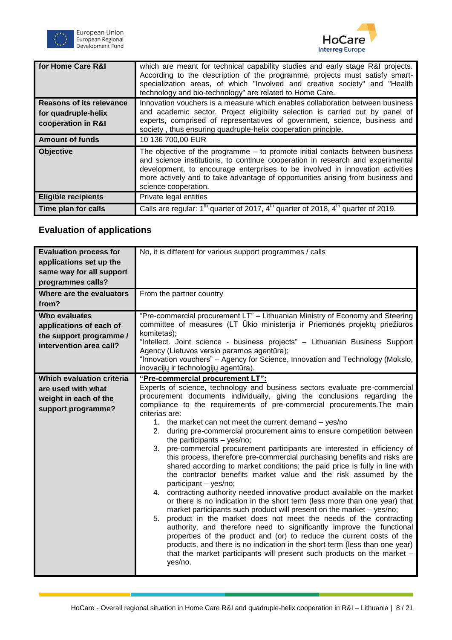



| for Home Care R&I                                                            | which are meant for technical capability studies and early stage R&I projects.<br>According to the description of the programme, projects must satisfy smart-<br>specialization areas, of which "Involved and creative society" and "Health<br>technology and bio-technology" are related to Home Care.                                                      |
|------------------------------------------------------------------------------|--------------------------------------------------------------------------------------------------------------------------------------------------------------------------------------------------------------------------------------------------------------------------------------------------------------------------------------------------------------|
| <b>Reasons of its relevance</b><br>for quadruple-helix<br>cooperation in R&I | Innovation vouchers is a measure which enables collaboration between business<br>and academic sector. Project eligibility selection is carried out by panel of<br>experts, comprised of representatives of government, science, business and<br>society, thus ensuring quadruple-helix cooperation principle.                                                |
| <b>Amount of funds</b>                                                       | 10 136 700,00 EUR                                                                                                                                                                                                                                                                                                                                            |
| <b>Objective</b>                                                             | The objective of the programme $-$ to promote initial contacts between business<br>and science institutions, to continue cooperation in research and experimental<br>development, to encourage enterprises to be involved in innovation activities<br>more actively and to take advantage of opportunities arising from business and<br>science cooperation. |
| <b>Eligible recipients</b>                                                   | Private legal entities                                                                                                                                                                                                                                                                                                                                       |
| Time plan for calls                                                          | Calls are regular: 1 <sup>th</sup> quarter of 2017, 4 <sup>th</sup> quarter of 2018, 4 <sup>th</sup> quarter of 2019.                                                                                                                                                                                                                                        |

### **Evaluation of applications**

| <b>Evaluation process for</b><br>applications set up the<br>same way for all support<br>programmes calls? | No, it is different for various support programmes / calls                                                                                                                                                                                                                                                                                                                                                                                                                                                                                                                                                                                                                                                                                                                                                                                                                                                                                                                                                                                                                                                                                                                                                                                                                                                                                                                                                                                |
|-----------------------------------------------------------------------------------------------------------|-------------------------------------------------------------------------------------------------------------------------------------------------------------------------------------------------------------------------------------------------------------------------------------------------------------------------------------------------------------------------------------------------------------------------------------------------------------------------------------------------------------------------------------------------------------------------------------------------------------------------------------------------------------------------------------------------------------------------------------------------------------------------------------------------------------------------------------------------------------------------------------------------------------------------------------------------------------------------------------------------------------------------------------------------------------------------------------------------------------------------------------------------------------------------------------------------------------------------------------------------------------------------------------------------------------------------------------------------------------------------------------------------------------------------------------------|
| Where are the evaluators<br>from?                                                                         | From the partner country                                                                                                                                                                                                                                                                                                                                                                                                                                                                                                                                                                                                                                                                                                                                                                                                                                                                                                                                                                                                                                                                                                                                                                                                                                                                                                                                                                                                                  |
| Who evaluates<br>applications of each of<br>the support programme /<br>intervention area call?            | "Pre-commercial procurement LT" - Lithuanian Ministry of Economy and Steering<br>committee of measures (LT Ūkio ministerija ir Priemonės projektų priežiūros<br>komitetas);<br>"Intellect. Joint science - business projects" - Lithuanian Business Support<br>Agency (Lietuvos verslo paramos agentūra);<br>"Innovation vouchers" – Agency for Science, Innovation and Technology (Mokslo,<br>inovacijų ir technologijų agentūra).                                                                                                                                                                                                                                                                                                                                                                                                                                                                                                                                                                                                                                                                                                                                                                                                                                                                                                                                                                                                       |
| Which evaluation criteria<br>are used with what<br>weight in each of the<br>support programme?            | "Pre-commercial procurement LT":<br>Experts of science, technology and business sectors evaluate pre-commercial<br>procurement documents individually, giving the conclusions regarding the<br>compliance to the requirements of pre-commercial procurements. The main<br>criterias are:<br>1. the market can not meet the current demand - yes/no<br>during pre-commercial procurement aims to ensure competition between<br>2.<br>the participants $-$ yes/no;<br>3. pre-commercial procurement participants are interested in efficiency of<br>this process, therefore pre-commercial purchasing benefits and risks are<br>shared according to market conditions; the paid price is fully in line with<br>the contractor benefits market value and the risk assumed by the<br>participant - yes/no;<br>4. contracting authority needed innovative product available on the market<br>or there is no indication in the short term (less more than one year) that<br>market participants such product will present on the market - yes/no;<br>5. product in the market does not meet the needs of the contracting<br>authority, and therefore need to significantly improve the functional<br>properties of the product and (or) to reduce the current costs of the<br>products, and there is no indication in the short term (less than one year)<br>that the market participants will present such products on the market -<br>yes/no. |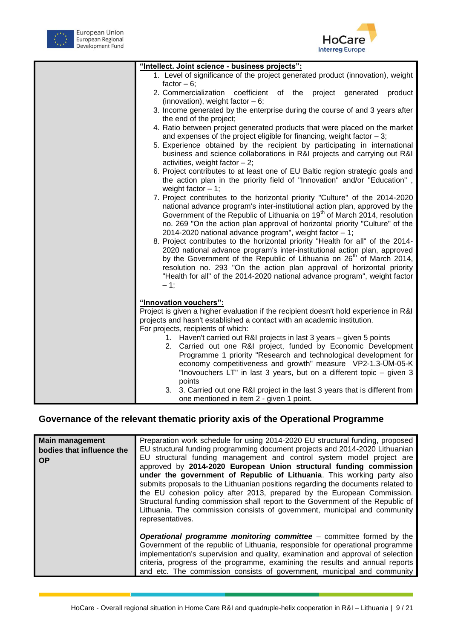



| "Intellect. Joint science - business projects":                                       |
|---------------------------------------------------------------------------------------|
| 1. Level of significance of the project generated product (innovation), weight        |
| factor $-6$ ;                                                                         |
| 2. Commercialization<br>coefficient<br>of the project<br>product<br>generated         |
| (innovation), weight factor $-6$ ;                                                    |
| 3. Income generated by the enterprise during the course of and 3 years after          |
| the end of the project;                                                               |
| 4. Ratio between project generated products that were placed on the market            |
| and expenses of the project eligible for financing, weight factor $-3$ ;              |
| 5. Experience obtained by the recipient by participating in international             |
| business and science collaborations in R&I projects and carrying out R&I              |
| activities, weight factor $-2$ ;                                                      |
| 6. Project contributes to at least one of EU Baltic region strategic goals and        |
| the action plan in the priority field of "Innovation" and/or "Education",             |
| weight factor $-1$ ;                                                                  |
| 7. Project contributes to the horizontal priority "Culture" of the 2014-2020          |
| national advance program's inter-institutional action plan, approved by the           |
| Government of the Republic of Lithuania on 19 <sup>th</sup> of March 2014, resolution |
| no. 269 "On the action plan approval of horizontal priority "Culture" of the          |
| 2014-2020 national advance program", weight factor - 1;                               |
| 8. Project contributes to the horizontal priority "Health for all" of the 2014-       |
| 2020 national advance program's inter-institutional action plan, approved             |
| by the Government of the Republic of Lithuania on 26 <sup>th</sup> of March 2014,     |
| resolution no. 293 "On the action plan approval of horizontal priority                |
| "Health for all" of the 2014-2020 national advance program", weight factor            |
| $-1$ ;                                                                                |
|                                                                                       |
| "Innovation vouchers":                                                                |
| Project is given a higher evaluation if the recipient doesn't hold experience in R&I  |
| projects and hasn't established a contact with an academic institution.               |
| For projects, recipients of which:                                                    |
| 1. Haven't carried out R&I projects in last 3 years - given 5 points                  |
| 2. Carried out one R&I project, funded by Economic Development                        |
| Programme 1 priority "Research and technological development for                      |
| economy competitiveness and growth" measure VP2-1.3-UM-05-K                           |
| "Inovouchers LT" in last 3 years, but on a different topic – given 3                  |
| points                                                                                |
| 3. 3. Carried out one R&I project in the last 3 years that is different from          |
| one mentioned in item 2 - given 1 point.                                              |

### **Governance of the relevant thematic priority axis of the Operational Programme**

| <b>Main management</b><br>bodies that influence the<br><b>OP</b> | Preparation work schedule for using 2014-2020 EU structural funding, proposed<br>EU structural funding programming document projects and 2014-2020 Lithuanian<br>EU structural funding management and control system model project are<br>approved by 2014-2020 European Union structural funding commission<br>under the government of Republic of Lithuania. This working party also<br>submits proposals to the Lithuanian positions regarding the documents related to<br>the EU cohesion policy after 2013, prepared by the European Commission.<br>Structural funding commission shall report to the Government of the Republic of<br>Lithuania. The commission consists of government, municipal and community |
|------------------------------------------------------------------|-----------------------------------------------------------------------------------------------------------------------------------------------------------------------------------------------------------------------------------------------------------------------------------------------------------------------------------------------------------------------------------------------------------------------------------------------------------------------------------------------------------------------------------------------------------------------------------------------------------------------------------------------------------------------------------------------------------------------|
|                                                                  | representatives.<br><b>Operational programme monitoring committee</b> $-$ committee formed by the<br>Government of the republic of Lithuania, responsible for operational programme<br>implementation's supervision and quality, examination and approval of selection<br>criteria, progress of the programme, examining the results and annual reports<br>and etc. The commission consists of government, municipal and community                                                                                                                                                                                                                                                                                    |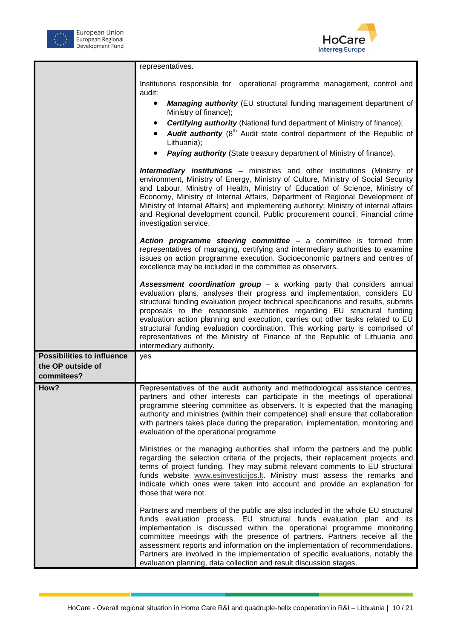



|                                   | representatives.                                                                                                                                                                                                                                                                                                                                                                                                                                                                                                                                                                                             |
|-----------------------------------|--------------------------------------------------------------------------------------------------------------------------------------------------------------------------------------------------------------------------------------------------------------------------------------------------------------------------------------------------------------------------------------------------------------------------------------------------------------------------------------------------------------------------------------------------------------------------------------------------------------|
|                                   | Institutions responsible for operational programme management, control and<br>audit:                                                                                                                                                                                                                                                                                                                                                                                                                                                                                                                         |
|                                   | Managing authority (EU structural funding management department of<br>$\bullet$<br>Ministry of finance);                                                                                                                                                                                                                                                                                                                                                                                                                                                                                                     |
|                                   | <b>Certifying authority</b> (National fund department of Ministry of finance);                                                                                                                                                                                                                                                                                                                                                                                                                                                                                                                               |
|                                   | <b>Audit authority</b> (8 <sup>th</sup> Audit state control department of the Republic of<br>Lithuania);                                                                                                                                                                                                                                                                                                                                                                                                                                                                                                     |
|                                   | Paying authority (State treasury department of Ministry of finance).                                                                                                                                                                                                                                                                                                                                                                                                                                                                                                                                         |
|                                   | <b>Intermediary institutions -</b> ministries and other institutions (Ministry of<br>environment, Ministry of Energy, Ministry of Culture, Ministry of Social Security<br>and Labour, Ministry of Health, Ministry of Education of Science, Ministry of<br>Economy, Ministry of Internal Affairs, Department of Regional Development of<br>Ministry of Internal Affairs) and implementing authority; Ministry of internal affairs<br>and Regional development council, Public procurement council, Financial crime<br>investigation service.                                                                 |
|                                   | Action programme steering committee - a committee is formed from<br>representatives of managing, certifying and intermediary authorities to examine<br>issues on action programme execution. Socioeconomic partners and centres of<br>excellence may be included in the committee as observers.                                                                                                                                                                                                                                                                                                              |
|                                   | <b>Assessment coordination group - a working party that considers annual</b><br>evaluation plans, analyses their progress and implementation, considers EU<br>structural funding evaluation project technical specifications and results, submits<br>proposals to the responsible authorities regarding EU structural funding<br>evaluation action planning and execution, carries out other tasks related to EU<br>structural funding evaluation coordination. This working party is comprised of<br>representatives of the Ministry of Finance of the Republic of Lithuania and<br>intermediary authority. |
| <b>Possibilities to influence</b> | yes                                                                                                                                                                                                                                                                                                                                                                                                                                                                                                                                                                                                          |
| the OP outside of                 |                                                                                                                                                                                                                                                                                                                                                                                                                                                                                                                                                                                                              |
| commitees?                        |                                                                                                                                                                                                                                                                                                                                                                                                                                                                                                                                                                                                              |
| How?                              | Representatives of the audit authority and methodological assistance centres,<br>partners and other interests can participate in the meetings of operational<br>programme steering committee as observers. It is expected that the managing<br>authority and ministries (within their competence) shall ensure that collaboration<br>with partners takes place during the preparation, implementation, monitoring and<br>evaluation of the operational programme                                                                                                                                             |
|                                   | Ministries or the managing authorities shall inform the partners and the public<br>regarding the selection criteria of the projects, their replacement projects and<br>terms of project funding. They may submit relevant comments to EU structural<br>funds website www.esinvesticijos.lt. Ministry must assess the remarks and<br>indicate which ones were taken into account and provide an explanation for<br>those that were not.                                                                                                                                                                       |
|                                   | Partners and members of the public are also included in the whole EU structural<br>funds evaluation process. EU structural funds evaluation plan and its<br>implementation is discussed within the operational programme monitoring<br>committee meetings with the presence of partners. Partners receive all the<br>assessment reports and information on the implementation of recommendations.<br>Partners are involved in the implementation of specific evaluations, notably the<br>evaluation planning, data collection and result discussion stages.                                                  |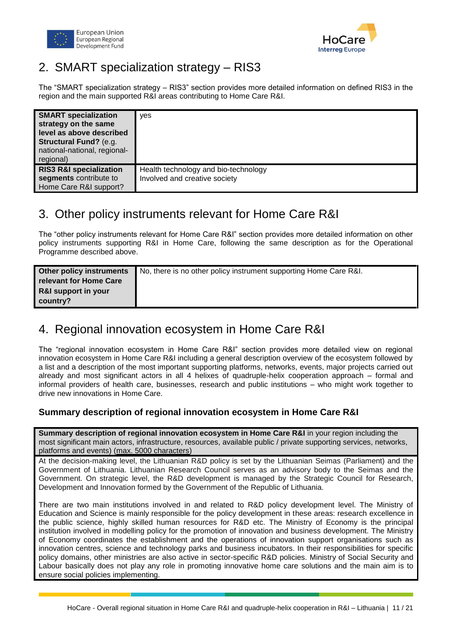



# <span id="page-10-0"></span>2. SMART specialization strategy – RIS3

The "SMART specialization strategy – RIS3" section provides more detailed information on defined RIS3 in the region and the main supported R&I areas contributing to Home Care R&I.

| <b>SMART specialization</b><br>strategy on the same<br>level as above described<br><b>Structural Fund?</b> (e.g.<br>national-national, regional-<br>regional) | yes                                  |
|---------------------------------------------------------------------------------------------------------------------------------------------------------------|--------------------------------------|
| <b>RIS3 R&amp;I specialization</b>                                                                                                                            | Health technology and bio-technology |
| segments contribute to                                                                                                                                        | Involved and creative society        |
| Home Care R&I support?                                                                                                                                        |                                      |

### <span id="page-10-1"></span>3. Other policy instruments relevant for Home Care R&I

The "other policy instruments relevant for Home Care R&I" section provides more detailed information on other policy instruments supporting R&I in Home Care, following the same description as for the Operational Programme described above.

| Other policy instruments       | No, there is no other policy instrument supporting Home Care R&I. |
|--------------------------------|-------------------------------------------------------------------|
| relevant for Home Care         |                                                                   |
| <b>R&amp;I support in your</b> |                                                                   |
| country?                       |                                                                   |

# <span id="page-10-2"></span>4. Regional innovation ecosystem in Home Care R&I

The "regional innovation ecosystem in Home Care R&I" section provides more detailed view on regional innovation ecosystem in Home Care R&I including a general description overview of the ecosystem followed by a list and a description of the most important supporting platforms, networks, events, major projects carried out already and most significant actors in all 4 helixes of quadruple-helix cooperation approach – formal and informal providers of health care, businesses, research and public institutions – who might work together to drive new innovations in Home Care.

#### **Summary description of regional innovation ecosystem in Home Care R&I**

**Summary description of regional innovation ecosystem in Home Care R&I** in your region including the most significant main actors, infrastructure, resources, available public / private supporting services, networks, platforms and events) (max. 5000 characters)

At the decision-making level, the Lithuanian R&D policy is set by the Lithuanian Seimas (Parliament) and the Government of Lithuania. Lithuanian Research Council serves as an advisory body to the Seimas and the Government. On strategic level, the R&D development is managed by the Strategic Council for Research, Development and Innovation formed by the Government of the Republic of Lithuania.

There are two main institutions involved in and related to R&D policy development level. The Ministry of Education and Science is mainly responsible for the policy development in these areas: research excellence in the public science, highly skilled human resources for R&D etc. The Ministry of Economy is the principal institution involved in modelling policy for the promotion of innovation and business development. The Ministry of Economy coordinates the establishment and the operations of innovation support organisations such as innovation centres, science and technology parks and business incubators. In their responsibilities for specific policy domains, other ministries are also active in sector-specific R&D policies. Ministry of Social Security and Labour basically does not play any role in promoting innovative home care solutions and the main aim is to ensure social policies implementing.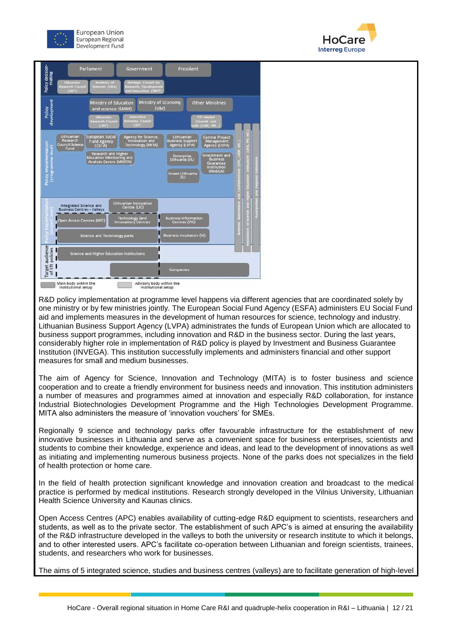





R&D policy implementation at programme level happens via different agencies that are coordinated solely by one ministry or by few ministries jointly. The European Social Fund Agency (ESFA) administers EU Social Fund aid and implements measures in the development of human resources for science, technology and industry. Lithuanian Business Support Agency (LVPA) administrates the funds of European Union which are allocated to business support programmes, including innovation and R&D in the business sector. During the last years, considerably higher role in implementation of R&D policy is played by Investment and Business Guarantee Institution (INVEGA). This institution successfully implements and administers financial and other support measures for small and medium businesses.

The aim of Agency for Science, Innovation and Technology (MITA) is to foster business and science cooperation and to create a friendly environment for business needs and innovation. This institution administers a number of measures and programmes aimed at innovation and especially R&D collaboration, for instance Industrial Biotechnologies Development Programme and the High Technologies Development Programme. MITA also administers the measure of 'innovation vouchers' for SMEs.

Regionally 9 science and technology parks offer favourable infrastructure for the establishment of new innovative businesses in Lithuania and serve as a convenient space for business enterprises, scientists and students to combine their knowledge, experience and ideas, and lead to the development of innovations as well as initiating and implementing numerous business projects. None of the parks does not specializes in the field of health protection or home care.

In the field of health protection significant knowledge and innovation creation and broadcast to the medical practice is performed by medical institutions. Research strongly developed in the Vilnius University, Lithuanian Health Science University and Kaunas clinics.

Open Access Centres (APC) enables availability of cutting-edge R&D equipment to scientists, researchers and students, as well as to the private sector. The establishment of such APC's is aimed at ensuring the availability of the R&D infrastructure developed in the valleys to both the university or research institute to which it belongs, and to other interested users. APC's facilitate co-operation between Lithuanian and foreign scientists, trainees, students, and researchers who work for businesses.

The aims of 5 integrated science, studies and business centres (valleys) are to facilitate generation of high-level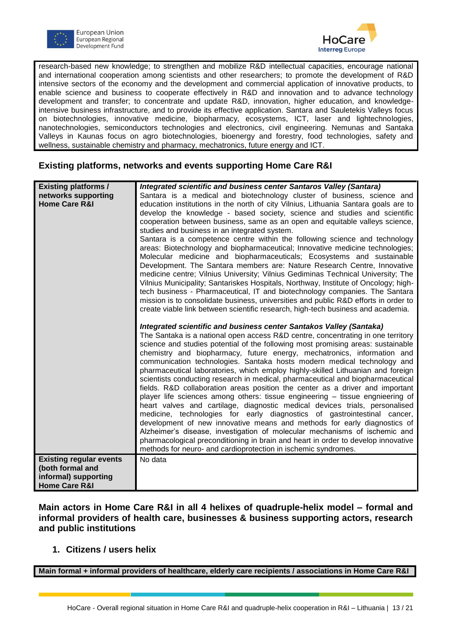



research-based new knowledge; to strengthen and mobilize R&D intellectual capacities, encourage national and international cooperation among scientists and other researchers; to promote the development of R&D intensive sectors of the economy and the development and commercial application of innovative products, to enable science and business to cooperate effectively in R&D and innovation and to advance technology development and transfer; to concentrate and update R&D, innovation, higher education, and knowledgeintensive business infrastructure, and to provide its effective application. Santara and Sauletekis Valleys focus on biotechnologies, innovative medicine, biopharmacy, ecosystems, ICT, laser and lightechnologies, nanotechnologies, semiconductors technologies and electronics, civil engineering. Nemunas and Santaka Valleys in Kaunas focus on agro biotechnologies, bioenergy and forestry, food technologies, safety and wellness, sustainable chemistry and pharmacy, mechatronics, future energy and ICT.

#### **Existing platforms, networks and events supporting Home Care R&I**

| <b>Existing platforms /</b>    | Integrated scientific and business center Santaros Valley (Santara)                                                                                         |
|--------------------------------|-------------------------------------------------------------------------------------------------------------------------------------------------------------|
| networks supporting            | Santara is a medical and biotechnology cluster of business, science and                                                                                     |
| <b>Home Care R&amp;I</b>       | education institutions in the north of city Vilnius, Lithuania Santara goals are to                                                                         |
|                                |                                                                                                                                                             |
|                                | develop the knowledge - based society, science and studies and scientific                                                                                   |
|                                | cooperation between business, same as an open and equitable valleys science,                                                                                |
|                                | studies and business in an integrated system.                                                                                                               |
|                                | Santara is a competence centre within the following science and technology                                                                                  |
|                                | areas: Biotechnology and biopharmaceutical; Innovative medicine technologies;                                                                               |
|                                | Molecular medicine and biopharmaceuticals; Ecosystems and sustainable                                                                                       |
|                                | Development. The Santara members are: Nature Research Centre, Innovative                                                                                    |
|                                | medicine centre; Vilnius University; Vilnius Gediminas Technical University; The                                                                            |
|                                | Vilnius Municipality; Santariskes Hospitals, Northway, Institute of Oncology; high-                                                                         |
|                                | tech business - Pharmaceutical, IT and biotechnology companies. The Santara                                                                                 |
|                                | mission is to consolidate business, universities and public R&D efforts in order to                                                                         |
|                                | create viable link between scientific research, high-tech business and academia.                                                                            |
|                                |                                                                                                                                                             |
|                                | Integrated scientific and business center Santakos Valley (Santaka)                                                                                         |
|                                | The Santaka is a national open access R&D centre, concentrating in one territory                                                                            |
|                                | science and studies potential of the following most promising areas: sustainable<br>chemistry and biopharmacy, future energy, mechatronics, information and |
|                                | communication technologies. Santaka hosts modern medical technology and                                                                                     |
|                                |                                                                                                                                                             |
|                                | pharmaceutical laboratories, which employ highly-skilled Lithuanian and foreign                                                                             |
|                                | scientists conducting research in medical, pharmaceutical and biopharmaceutical                                                                             |
|                                | fields. R&D collaboration areas position the center as a driver and important                                                                               |
|                                | player life sciences among others: tissue engineering - tissue engnieering of                                                                               |
|                                | heart valves and cartilage, diagnostic medical devices trials, personalised                                                                                 |
|                                | medicine, technologies for early diagnostics of gastrointestinal cancer,                                                                                    |
|                                | development of new innovative means and methods for early diagnostics of                                                                                    |
|                                | Alzheimer's disease, investigation of molecular mechanisms of ischemic and                                                                                  |
|                                | pharmacological preconditioning in brain and heart in order to develop innovative                                                                           |
|                                | methods for neuro- and cardioprotection in ischemic syndromes.                                                                                              |
| <b>Existing regular events</b> | No data                                                                                                                                                     |
| (both formal and               |                                                                                                                                                             |
| informal) supporting           |                                                                                                                                                             |
| <b>Home Care R&amp;I</b>       |                                                                                                                                                             |

**Main actors in Home Care R&I in all 4 helixes of quadruple-helix model – formal and informal providers of health care, businesses & business supporting actors, research and public institutions** 

#### **1. Citizens / users helix**

**Main formal + informal providers of healthcare, elderly care recipients / associations in Home Care R&I**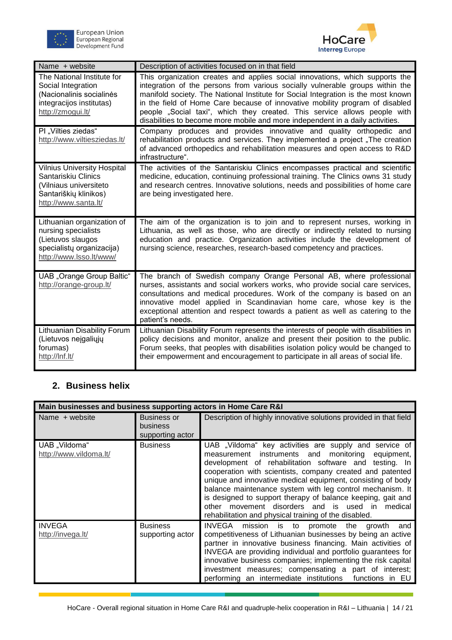



| Name + website                                                                                                                       | Description of activities focused on in that field                                                                                                                                                                                                                                                                                                                                                                                                                                                |
|--------------------------------------------------------------------------------------------------------------------------------------|---------------------------------------------------------------------------------------------------------------------------------------------------------------------------------------------------------------------------------------------------------------------------------------------------------------------------------------------------------------------------------------------------------------------------------------------------------------------------------------------------|
| The National Institute for<br>Social Integration<br>(Nacionalinis socialinės<br>integracijos institutas)<br>http://zmogui.lt/        | This organization creates and applies social innovations, which supports the<br>integration of the persons from various socially vulnerable groups within the<br>manifold society. The National Institute for Social Integration is the most known<br>in the field of Home Care because of innovative mobility program of disabled<br>people "Social taxi", which they created. This service allows people with<br>disabilities to become more mobile and more independent in a daily activities. |
| PI "Vilties ziedas"<br>http://www.viltiesziedas.lt/                                                                                  | Company produces and provides innovative and quality orthopedic and<br>rehabilitation products and services. They implemented a project, The creation<br>of advanced orthopedics and rehabilitation measures and open access to R&D<br>infrastructure".                                                                                                                                                                                                                                           |
| <b>Vilnius University Hospital</b><br>Santariskiu Clinics<br>(Vilniaus universiteto<br>Santariškių klinikos)<br>http://www.santa.lt/ | The activities of the Santariskiu Clinics encompasses practical and scientific<br>medicine, education, continuing professional training. The Clinics owns 31 study<br>and research centres. Innovative solutions, needs and possibilities of home care<br>are being investigated here.                                                                                                                                                                                                            |
| Lithuanian organization of<br>nursing specialists<br>(Lietuvos slaugos<br>specialistų organizacija)<br>http://www.lsso.lt/www/       | The aim of the organization is to join and to represent nurses, working in<br>Lithuania, as well as those, who are directly or indirectly related to nursing<br>education and practice. Organization activities include the development of<br>nursing science, researches, research-based competency and practices.                                                                                                                                                                               |
| <b>UAB</b> "Orange Group Baltic"<br>http://orange-group.lt/                                                                          | The branch of Swedish company Orange Personal AB, where professional<br>nurses, assistants and social workers works, who provide social care services,<br>consultations and medical procedures. Work of the company is based on an<br>innovative model applied in Scandinavian home care, whose key is the<br>exceptional attention and respect towards a patient as well as catering to the<br>patient's needs.                                                                                  |
| Lithuanian Disability Forum<br>(Lietuvos neįgaliųjų<br>forumas)<br>http://lnf.lt/                                                    | Lithuanian Disability Forum represents the interests of people with disabilities in<br>policy decisions and monitor, analize and present their position to the public.<br>Forum seeks, that peoples with disabilities isolation policy would be changed to<br>their empowerment and encouragement to participate in all areas of social life.                                                                                                                                                     |

### **2. Business helix**

| Main businesses and business supporting actors in Home Care R&I |                                                    |                                                                                                                                                                                                                                                                                                                                                                                                                                                                                                                                              |
|-----------------------------------------------------------------|----------------------------------------------------|----------------------------------------------------------------------------------------------------------------------------------------------------------------------------------------------------------------------------------------------------------------------------------------------------------------------------------------------------------------------------------------------------------------------------------------------------------------------------------------------------------------------------------------------|
| Name + website                                                  | <b>Business or</b><br>business<br>supporting actor | Description of highly innovative solutions provided in that field                                                                                                                                                                                                                                                                                                                                                                                                                                                                            |
| UAB "Vildoma"<br>http://www.vildoma.lt/                         | <b>Business</b>                                    | UAB "Vildoma" key activities are supply and service of<br>measurement instruments and<br>monitoring equipment,<br>development of rehabilitation software and testing. In<br>cooperation with scientists, company created and patented<br>unique and innovative medical equipment, consisting of body<br>balance maintenance system with leg control mechanism. It<br>is designed to support therapy of balance keeping, gait and<br>other movement disorders and is used in medical<br>rehabilitation and physical training of the disabled. |
| <b>INVEGA</b><br>http://invega.lt/                              | <b>Business</b><br>supporting actor                | INVEGA<br>mission is to promote the<br>and<br>growth<br>competitiveness of Lithuanian businesses by being an active<br>partner in innovative business financing. Main activities of<br>INVEGA are providing individual and portfolio guarantees for<br>innovative business companies; implementing the risk capital<br>investment measures; compensating a part of interest;<br>performing an intermediate institutions functions in EU                                                                                                      |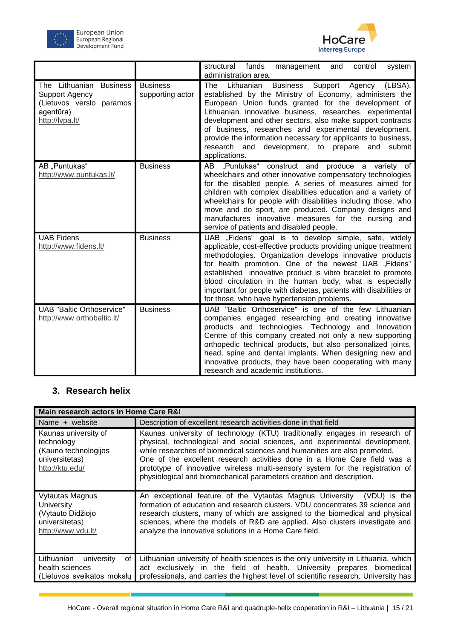



|                                                                                                                 |                                     | structural funds<br>management<br>control<br>system<br>and<br>administration area.                                                                                                                                                                                                                                                                                                                                                                                                                                      |
|-----------------------------------------------------------------------------------------------------------------|-------------------------------------|-------------------------------------------------------------------------------------------------------------------------------------------------------------------------------------------------------------------------------------------------------------------------------------------------------------------------------------------------------------------------------------------------------------------------------------------------------------------------------------------------------------------------|
| The Lithuanian<br><b>Business</b><br>Support Agency<br>(Lietuvos verslo paramos<br>agentūra)<br>http://lvpa.lt/ | <b>Business</b><br>supporting actor | Lithuanian<br><b>Business</b><br>Support<br>The<br>Agency<br>(LBSA),<br>established by the Ministry of Economy, administers the<br>European Union funds granted for the development of<br>Lithuanian innovative business, researches, experimental<br>development and other sectors, also make support contracts<br>of business, researches and experimental development,<br>provide the information necessary for applicants to business,<br>research and<br>development, to prepare<br>submit<br>and<br>applications. |
| AB "Puntukas"<br>http://www.puntukas.lt/                                                                        | <b>Business</b>                     | AB "Puntukas" construct and produce a variety of<br>wheelchairs and other innovative compensatory technologies<br>for the disabled people. A series of measures aimed for<br>children with complex disabilities education and a variety of<br>wheelchairs for people with disabilities including those, who<br>move and do sport, are produced. Company designs and<br>manufactures innovative measures for the nursing and<br>service of patients and disabled people.                                                 |
| <b>UAB Fidens</b><br>http://www.fidens.lt/                                                                      | <b>Business</b>                     | UAB "Fidens" goal is to develop simple, safe, widely<br>applicable, cost-effective products providing unique treatment<br>methodologies. Organization develops innovative products<br>for health promotion. One of the newest UAB "Fidens"<br>established innovative product is vibro bracelet to promote<br>blood circulation in the human body, what is especially<br>important for people with diabetas, patients with disabilities or<br>for those, who have hypertension problems.                                 |
| <b>UAB "Baltic Orthoservice"</b><br>http://www.orthobaltic.lt/                                                  | <b>Business</b>                     | UAB "Baltic Orthoservice" is one of the few Lithuanian<br>companies engaged researching and creating innovative<br>products and technologies. Technology and Innovation<br>Centre of this company created not only a new supporting<br>orthopedic technical products, but also personalized joints,<br>head, spine and dental implants. When designing new and<br>innovative products, they have been cooperating with many<br>research and academic institutions.                                                      |

### **3. Research helix**

| Main research actors in Home Care R&I                                                           |                                                                                                                                                                                                                                                                                                                                                                                                                                                                            |  |
|-------------------------------------------------------------------------------------------------|----------------------------------------------------------------------------------------------------------------------------------------------------------------------------------------------------------------------------------------------------------------------------------------------------------------------------------------------------------------------------------------------------------------------------------------------------------------------------|--|
| Name + website                                                                                  | Description of excellent research activities done in that field                                                                                                                                                                                                                                                                                                                                                                                                            |  |
| Kaunas university of<br>technology<br>(Kauno technologijos<br>universitetas)<br>http://ktu.edu/ | Kaunas university of technology (KTU) traditionally engages in research of<br>physical, technological and social sciences, and experimental development,<br>while researches of biomedical sciences and humanities are also promoted.<br>One of the excellent research activities done in a Home Care field was a<br>prototype of innovative wireless multi-sensory system for the registration of<br>physiological and biomechanical parameters creation and description. |  |
| Vytautas Magnus<br>University<br>(Vytauto Didžiojo<br>universitetas)<br>http://www.vdu.lt/      | An exceptional feature of the Vytautas Magnus University (VDU) is the<br>formation of education and research clusters. VDU concentrates 39 science and<br>research clusters, many of which are assigned to the biomedical and physical<br>sciences, where the models of R&D are applied. Also clusters investigate and<br>analyze the innovative solutions in a Home Care field.                                                                                           |  |
| of <sub>l</sub><br>Lithuanian<br>university<br>health sciences<br>(Lietuvos sveikatos mokslų    | Lithuanian university of health sciences is the only university in Lithuania, which<br>act exclusively in the field of health. University prepares biomedical<br>professionals, and carries the highest level of scientific research. University has                                                                                                                                                                                                                       |  |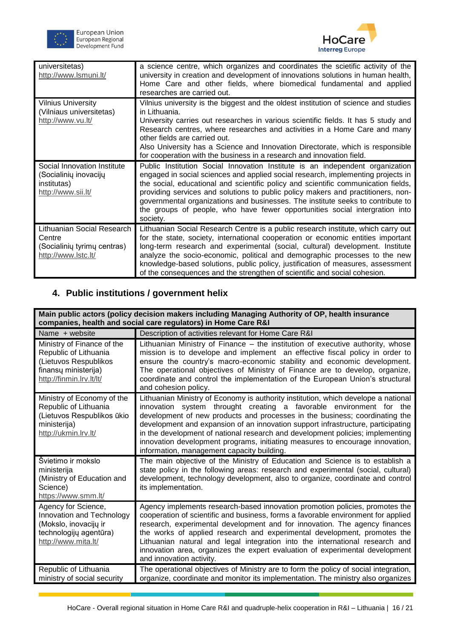



| universitetas)<br>http://www.lsmuni.lt/                                                    | a science centre, which organizes and coordinates the scietific activity of the<br>university in creation and development of innovations solutions in human health,<br>Home Care and other fields, where biomedical fundamental and applied<br>researches are carried out.                                                                                                                                                                                                                                                |
|--------------------------------------------------------------------------------------------|---------------------------------------------------------------------------------------------------------------------------------------------------------------------------------------------------------------------------------------------------------------------------------------------------------------------------------------------------------------------------------------------------------------------------------------------------------------------------------------------------------------------------|
| <b>Vilnius University</b><br>(Vilniaus universitetas)<br>http://www.vu.lt/                 | Vilnius university is the biggest and the oldest institution of science and studies<br>in Lithuania.<br>University carries out researches in various scientific fields. It has 5 study and<br>Research centres, where researches and activities in a Home Care and many<br>other fields are carried out.<br>Also University has a Science and Innovation Directorate, which is responsible<br>for cooperation with the business in a research and innovation field.                                                       |
| Social Innovation Institute<br>(Socialinių inovacijų<br>institutas)<br>http://www.sii.lt/  | Public Institution Social Innovation Institute is an independent organization<br>engaged in social sciences and applied social research, implementing projects in<br>the social, educational and scientific policy and scientific communication fields,<br>providing services and solutions to public policy makers and practitioners, non-<br>governmental organizations and businesses. The institute seeks to contribute to<br>the groups of people, who have fewer opportunities social intergration into<br>society. |
| Lithuanian Social Research<br>Centre<br>(Socialinių tyrimų centras)<br>http://www.lstc.lt/ | Lithuanian Social Research Centre is a public research institute, which carry out<br>for the state, society, international cooperation or economic entities important<br>long-term research and experimental (social, cultural) development. Institute<br>analyze the socio-economic, political and demographic processes to the new<br>knowledge-based solutions, public policy, justification of measures, assessment<br>of the consequences and the strengthen of scientific and social cohesion.                      |

### **4. Public institutions / government helix**

| Main public actors (policy decision makers including Managing Authority of OP, health insurance<br>companies, health and social care regulators) in Home Care R&I |                                                                                                                                                                                                                                                                                                                                                                                                                                                                                                                                               |  |
|-------------------------------------------------------------------------------------------------------------------------------------------------------------------|-----------------------------------------------------------------------------------------------------------------------------------------------------------------------------------------------------------------------------------------------------------------------------------------------------------------------------------------------------------------------------------------------------------------------------------------------------------------------------------------------------------------------------------------------|--|
| Name + website                                                                                                                                                    | Description of activities relevant for Home Care R&I                                                                                                                                                                                                                                                                                                                                                                                                                                                                                          |  |
| Ministry of Finance of the<br>Republic of Lithuania<br>(Lietuvos Respublikos<br>finansų ministerija)<br>http://finmin.lrv.lt/lt/                                  | Lithuanian Ministry of Finance – the institution of executive authority, whose<br>mission is to develope and implement an effective fiscal policy in order to<br>ensure the country's macro-economic stability and economic development.<br>The operational objectives of Ministry of Finance are to develop, organize,<br>coordinate and control the implementation of the European Union's structural<br>and cohesion policy.                                                                                                               |  |
| Ministry of Economy of the<br>Republic of Lithuania<br>(Lietuvos Respublikos ūkio<br>ministerija)<br>http://ukmin.lrv.lt/                                         | Lithuanian Ministry of Economy is authority institution, which develope a national<br>innovation system throught creating a favorable environment for the<br>development of new products and processes in the business; coordinating the<br>development and expansion of an innovation support infrastructure, participating<br>in the development of national research and development policies; implementing<br>innovation development programs, initiating measures to encourage innovation,<br>information, management capacity building. |  |
| Švietimo ir mokslo<br>ministerija<br>(Ministry of Education and<br>Science)<br>https://www.smm.lt/                                                                | The main objective of the Ministry of Education and Science is to establish a<br>state policy in the following areas: research and experimental (social, cultural)<br>development, technology development, also to organize, coordinate and control<br>its implementation.                                                                                                                                                                                                                                                                    |  |
| Agency for Science,<br>Innovation and Technology<br>(Mokslo, inovacijų ir<br>technologijų agentūra)<br>http://www.mita.lt/                                        | Agency implements research-based innovation promotion policies, promotes the<br>cooperation of scientific and business, forms a favorable environment for applied<br>research, experimental development and for innovation. The agency finances<br>the works of applied research and experimental development, promotes the<br>Lithuanian natural and legal integration into the international research and<br>innovation area, organizes the expert evaluation of experimental development<br>and innovation activity.                       |  |
| Republic of Lithuania<br>ministry of social security                                                                                                              | The operational objectives of Ministry are to form the policy of social integration,<br>organize, coordinate and monitor its implementation. The ministry also organizes                                                                                                                                                                                                                                                                                                                                                                      |  |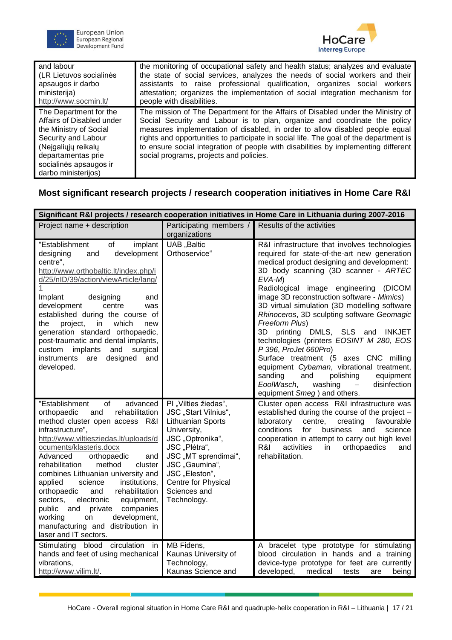



| and labour                                                                                                                                                                                         | the monitoring of occupational safety and health status; analyzes and evaluate                                                                                                                                                                                                                                                                                                                                                                                         |
|----------------------------------------------------------------------------------------------------------------------------------------------------------------------------------------------------|------------------------------------------------------------------------------------------------------------------------------------------------------------------------------------------------------------------------------------------------------------------------------------------------------------------------------------------------------------------------------------------------------------------------------------------------------------------------|
| (LR Lietuvos socialinės                                                                                                                                                                            | the state of social services, analyzes the needs of social workers and their                                                                                                                                                                                                                                                                                                                                                                                           |
| apsaugos ir darbo                                                                                                                                                                                  | assistants to raise professional qualification, organizes social workers                                                                                                                                                                                                                                                                                                                                                                                               |
| ministerija)                                                                                                                                                                                       | attestation; organizes the implementation of social integration mechanism for                                                                                                                                                                                                                                                                                                                                                                                          |
| http://www.socmin.lt/                                                                                                                                                                              | people with disabilities.                                                                                                                                                                                                                                                                                                                                                                                                                                              |
| The Department for the<br>Affairs of Disabled under<br>the Ministry of Social<br>Security and Labour<br>(Nejgaliųjų reikalų<br>departamentas prie<br>socialinės apsaugos ir<br>darbo ministerijos) | The mission of The Department for the Affairs of Disabled under the Ministry of<br>Social Security and Labour is to plan, organize and coordinate the policy<br>measures implementation of disabled, in order to allow disabled people equal<br>rights and opportunities to participate in social life. The goal of the department is<br>to ensure social integration of people with disabilities by implementing different<br>social programs, projects and policies. |

#### **Most significant research projects / research cooperation initiatives in Home Care R&I**

| Significant R&I projects / research cooperation initiatives in Home Care in Lithuania during 2007-2016                                                                                                                                                                                                                                                                                                                                                                                                                                                                           |                                                                                                                                                                                                                                         |                                                                                                                                                                                                                                                                                                                                                                                                                                                                                                                                                                                                                                                                                                                                                         |  |
|----------------------------------------------------------------------------------------------------------------------------------------------------------------------------------------------------------------------------------------------------------------------------------------------------------------------------------------------------------------------------------------------------------------------------------------------------------------------------------------------------------------------------------------------------------------------------------|-----------------------------------------------------------------------------------------------------------------------------------------------------------------------------------------------------------------------------------------|---------------------------------------------------------------------------------------------------------------------------------------------------------------------------------------------------------------------------------------------------------------------------------------------------------------------------------------------------------------------------------------------------------------------------------------------------------------------------------------------------------------------------------------------------------------------------------------------------------------------------------------------------------------------------------------------------------------------------------------------------------|--|
| Project name + description                                                                                                                                                                                                                                                                                                                                                                                                                                                                                                                                                       | Participating members /<br>organizations                                                                                                                                                                                                | Results of the activities                                                                                                                                                                                                                                                                                                                                                                                                                                                                                                                                                                                                                                                                                                                               |  |
| "Establishment<br>implant<br>of<br>development<br>designing<br>and<br>centre",<br>http://www.orthobaltic.lt/index.php/i<br>d/25/nID/39/action/viewArticle/lang/<br>1<br>Implant<br>designing<br>and<br>development<br>centre<br>was<br>established during the course of<br>which<br>project,<br>the<br>in.<br>new<br>generation standard orthopaedic,<br>post-traumatic and dental implants,<br>implants<br>and<br>surgical<br>custom<br>designed<br>instruments<br>are<br>and<br>developed.                                                                                     | UAB "Baltic<br>Orthoservice"                                                                                                                                                                                                            | R&I infrastructure that involves technologies<br>required for state-of-the-art new generation<br>medical product designing and development:<br>3D body scanning (3D scanner - ARTEC<br>$EVA-M$<br>Radiological image engineering<br>(DICOM<br>image 3D reconstruction software - Mimics)<br>3D virtual simulation (3D modelling software<br>Rhinoceros, 3D sculpting software Geomagic<br>Freeform Plus)<br>3D printing DMLS, SLS and INKJET<br>technologies (printers EOSINT M 280, EOS<br>P 396, ProJet 660Pro)<br>Surface treatment (5 axes CNC milling<br>equipment Cybaman, vibrational treatment,<br>sanding<br>and<br>polishing<br>equipment<br>EoolWasch,<br>disinfection<br>washing<br>$\overline{\phantom{m}}$<br>equipment Smeg) and others. |  |
| "Establishment<br>of<br>advanced<br>rehabilitation<br>orthopaedic<br>and<br>method cluster open access<br>R&I<br>infrastructure",<br>http://www.viltiesziedas.lt/uploads/d<br>ocuments/klasteris.docx<br>Advanced<br>orthopaedic<br>and<br>method<br>rehabilitation<br>cluster<br>combines Lithuanian university and<br>applied<br>science<br>institutions,<br>orthopaedic<br>rehabilitation<br>and<br>electronic<br>equipment,<br>sectors,<br>companies<br>public and<br>private<br>development,<br>working<br>on<br>manufacturing and distribution in<br>laser and IT sectors. | PI "Vilties žiedas",<br>JSC "Start Vilnius",<br>Lithuanian Sports<br>University,<br>JSC "Optronika",<br>JSC "Plėtra",<br>JSC "MT sprendimai",<br>JSC "Gaumina",<br>JSC "Eleston",<br>Centre for Physical<br>Sciences and<br>Technology. | Cluster open access R&I infrastructure was<br>established during the course of the project -<br>laboratory<br>centre,<br>creating<br>favourable<br>conditions<br>for<br>business<br>science<br>and<br>cooperation in attempt to carry out high level<br>orthopaedics<br>R&I<br>activities<br>in.<br>and<br>rehabilitation.                                                                                                                                                                                                                                                                                                                                                                                                                              |  |
| Stimulating blood circulation<br>in<br>hands and feet of using mechanical<br>vibrations,<br>http://www.vilim.lt/.                                                                                                                                                                                                                                                                                                                                                                                                                                                                | MB Fidens,<br>Kaunas University of<br>Technology,<br>Kaunas Science and                                                                                                                                                                 | A bracelet type prototype for stimulating<br>blood circulation in hands and a training<br>device-type prototype for feet are currently<br>developed,<br>medical<br>tests<br>being<br>are                                                                                                                                                                                                                                                                                                                                                                                                                                                                                                                                                                |  |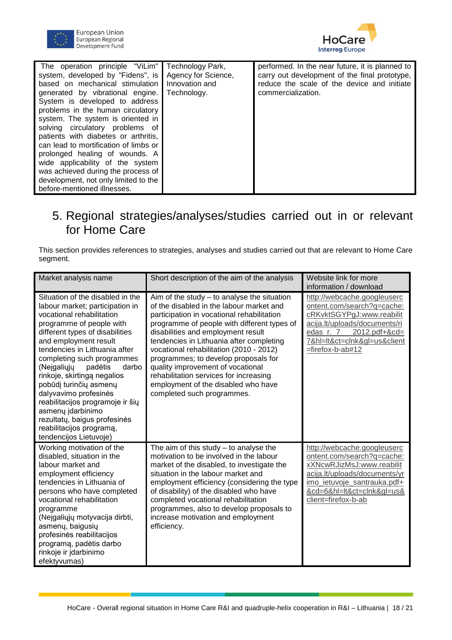



| The operation principle "ViLim"  <br>system, developed by "Fidens", is<br>based on mechanical stimulation<br>generated by vibrational engine.<br>System is developed to address<br>problems in the human circulatory<br>system. The system is oriented in<br>solving circulatory problems of<br>patients with diabetes or arthritis,<br>can lead to mortification of limbs or<br>prolonged healing of wounds. A<br>wide applicability of the system<br>was achieved during the process of<br>development, not only limited to the<br>before-mentioned illnesses. | Technology Park,<br>Agency for Science,<br>Innovation and<br>Technology. | performed. In the near future, it is planned to<br>carry out development of the final prototype,<br>reduce the scale of the device and initiate<br>commercialization. |
|------------------------------------------------------------------------------------------------------------------------------------------------------------------------------------------------------------------------------------------------------------------------------------------------------------------------------------------------------------------------------------------------------------------------------------------------------------------------------------------------------------------------------------------------------------------|--------------------------------------------------------------------------|-----------------------------------------------------------------------------------------------------------------------------------------------------------------------|
|------------------------------------------------------------------------------------------------------------------------------------------------------------------------------------------------------------------------------------------------------------------------------------------------------------------------------------------------------------------------------------------------------------------------------------------------------------------------------------------------------------------------------------------------------------------|--------------------------------------------------------------------------|-----------------------------------------------------------------------------------------------------------------------------------------------------------------------|

# <span id="page-17-0"></span>5. Regional strategies/analyses/studies carried out in or relevant for Home Care

This section provides references to strategies, analyses and studies carried out that are relevant to Home Care segment.

| Market analysis name                                                                                                                                                                                                                                                                                                                                                                                                                                                                                                        | Short description of the aim of the analysis                                                                                                                                                                                                                                                                                                                                                                                                                                                                    | Website link for more<br>information / download                                                                                                                                                           |
|-----------------------------------------------------------------------------------------------------------------------------------------------------------------------------------------------------------------------------------------------------------------------------------------------------------------------------------------------------------------------------------------------------------------------------------------------------------------------------------------------------------------------------|-----------------------------------------------------------------------------------------------------------------------------------------------------------------------------------------------------------------------------------------------------------------------------------------------------------------------------------------------------------------------------------------------------------------------------------------------------------------------------------------------------------------|-----------------------------------------------------------------------------------------------------------------------------------------------------------------------------------------------------------|
| Situation of the disabled in the<br>labour market; participation in<br>vocational rehabilitation<br>programme of people with<br>different types of disabilities<br>and employment result<br>tendencies in Lithuania after<br>completing such programmes<br>padėtis<br>(Nejgaliųjų<br>darbo<br>rinkoje, skirtingą negalios<br>pobūdį turinčių asmenų<br>dalyvavimo profesinės<br>reabilitacijos programoje ir šių<br>asmenų įdarbinimo<br>rezultatų, baigus profesinės<br>reabilitacijos programą,<br>tendencijos Lietuvoje) | Aim of the study $-$ to analyse the situation<br>of the disabled in the labour market and<br>participation in vocational rehabilitation<br>programme of people with different types of<br>disabilities and employment result<br>tendencies in Lithuania after completing<br>vocational rehabilitation (2010 - 2012)<br>programmes; to develop proposals for<br>quality improvement of vocational<br>rehabilitation services for increasing<br>employment of the disabled who have<br>completed such programmes. | http://webcache.googleuserc<br>ontent.com/search?q=cache:<br>cRKvktSGYPgJ:www.reabilit<br>acija.lt/uploads/documents/ri<br>7&hl=lt&ct=clnk≷=us&client<br>=firefox-b-ab#12                                 |
| Working motivation of the<br>disabled, situation in the<br>labour market and<br>employment efficiency<br>tendencies in Lithuania of<br>persons who have completed<br>vocational rehabilitation<br>programme<br>(Neįgaliųjų motyvacija dirbti,<br>asmenų, baigusių<br>profesinės reabilitacijos<br>programą, padėtis darbo<br>rinkoje ir įdarbinimo<br>efektyvumas)                                                                                                                                                          | The aim of this study $-$ to analyse the<br>motivation to be involved in the labour<br>market of the disabled, to investigate the<br>situation in the labour market and<br>employment efficiency (considering the type<br>of disability) of the disabled who have<br>completed vocational rehabilitation<br>programmes, also to develop proposals to<br>increase motivation and employment<br>efficiency.                                                                                                       | http://webcache.googleuserc<br>ontent.com/search?q=cache:<br>xXNcwRJizMsJ:www.reabilit<br>acija.lt/uploads/documents/yr<br>imo_ietuvoje_santrauka.pdf+<br>&cd=6&hl=lt&ct=clnk≷=us&<br>client=firefox-b-ab |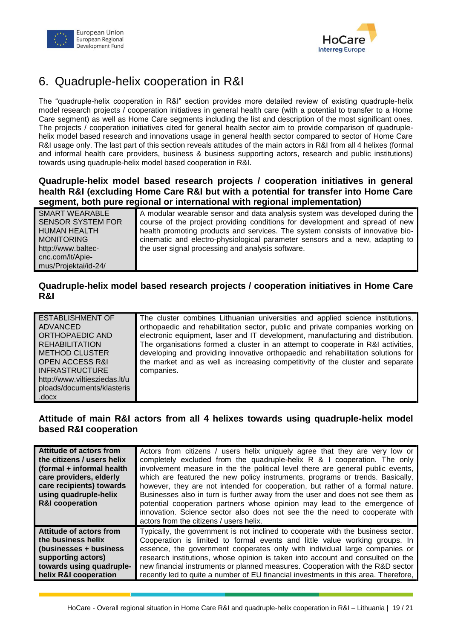



# <span id="page-18-0"></span>6. Quadruple-helix cooperation in R&I

The "quadruple-helix cooperation in R&I" section provides more detailed review of existing quadruple-helix model research projects / cooperation initiatives in general health care (with a potential to transfer to a Home Care segment) as well as Home Care segments including the list and description of the most significant ones. The projects / cooperation initiatives cited for general health sector aim to provide comparison of quadruplehelix model based research and innovations usage in general health sector compared to sector of Home Care R&I usage only. The last part of this section reveals attitudes of the main actors in R&I from all 4 helixes (formal and informal health care providers, business & business supporting actors, research and public institutions) towards using quadruple-helix model based cooperation in R&I.

#### **Quadruple-helix model based research projects / cooperation initiatives in general health R&I (excluding Home Care R&I but with a potential for transfer into Home Care segment, both pure regional or international with regional implementation)**

| <b>SMART WEARABLE</b>    | A modular wearable sensor and data analysis system was developed during the    |
|--------------------------|--------------------------------------------------------------------------------|
| <b>SENSOR SYSTEM FOR</b> | course of the project providing conditions for development and spread of new   |
| <b>HUMAN HEALTH</b>      | health promoting products and services. The system consists of innovative bio- |
| <b>MONITORING</b>        | cinematic and electro-physiological parameter sensors and a new, adapting to   |
| http://www.baltec-       | the user signal processing and analysis software.                              |
| cnc.com/lt/Apie-         |                                                                                |
| mus/Projektai/id-24/     |                                                                                |

#### **Quadruple-helix model based research projects / cooperation initiatives in Home Care R&I**

| <b>ESTABLISHMENT OF</b>       | The cluster combines Lithuanian universities and applied science institutions,   |
|-------------------------------|----------------------------------------------------------------------------------|
| <b>ADVANCED</b>               | orthopaedic and rehabilitation sector, public and private companies working on   |
| ORTHOPAEDIC AND               | electronic equipment, laser and IT development, manufacturing and distribution.  |
| <b>REHABILITATION</b>         | The organisations formed a cluster in an attempt to cooperate in R&I activities, |
| <b>METHOD CLUSTER</b>         | developing and providing innovative orthopaedic and rehabilitation solutions for |
| <b>OPEN ACCESS R&amp;I</b>    | the market and as well as increasing competitivity of the cluster and separate   |
| <b>INFRASTRUCTURE</b>         | companies.                                                                       |
| http://www.viltiesziedas.lt/u |                                                                                  |
| ploads/documents/klasteris    |                                                                                  |
| .docx                         |                                                                                  |

#### **Attitude of main R&I actors from all 4 helixes towards using quadruple-helix model based R&I cooperation**

| <b>Attitude of actors from</b><br>the citizens / users helix<br>(formal + informal health<br>care providers, elderly<br>care recipients) towards<br>using quadruple-helix<br><b>R&amp;I cooperation</b> | Actors from citizens / users helix uniquely agree that they are very low or<br>completely excluded from the quadruple-helix R & I cooperation. The only<br>involvement measure in the the political level there are general public events,<br>which are featured the new policy instruments, programs or trends. Basically,<br>however, they are not intended for cooperation, but rather of a formal nature.<br>Businesses also in turn is further away from the user and does not see them as<br>potential cooperation partners whose opinion may lead to the emergence of<br>innovation. Science sector also does not see the the need to cooperate with<br>actors from the citizens / users helix. |
|---------------------------------------------------------------------------------------------------------------------------------------------------------------------------------------------------------|--------------------------------------------------------------------------------------------------------------------------------------------------------------------------------------------------------------------------------------------------------------------------------------------------------------------------------------------------------------------------------------------------------------------------------------------------------------------------------------------------------------------------------------------------------------------------------------------------------------------------------------------------------------------------------------------------------|
| Attitude of actors from                                                                                                                                                                                 | Typically, the government is not inclined to cooperate with the business sector.                                                                                                                                                                                                                                                                                                                                                                                                                                                                                                                                                                                                                       |
| the business helix                                                                                                                                                                                      | Cooperation is limited to formal events and little value working groups. In                                                                                                                                                                                                                                                                                                                                                                                                                                                                                                                                                                                                                            |
| (businesses + business)                                                                                                                                                                                 | essence, the government cooperates only with individual large companies or                                                                                                                                                                                                                                                                                                                                                                                                                                                                                                                                                                                                                             |
| supporting actors)                                                                                                                                                                                      | research institutions, whose opinion is taken into account and consulted on the                                                                                                                                                                                                                                                                                                                                                                                                                                                                                                                                                                                                                        |
| towards using quadruple-                                                                                                                                                                                | new financial instruments or planned measures. Cooperation with the R&D sector                                                                                                                                                                                                                                                                                                                                                                                                                                                                                                                                                                                                                         |
| helix R&I cooperation                                                                                                                                                                                   | recently led to quite a number of EU financial investments in this area. Therefore,                                                                                                                                                                                                                                                                                                                                                                                                                                                                                                                                                                                                                    |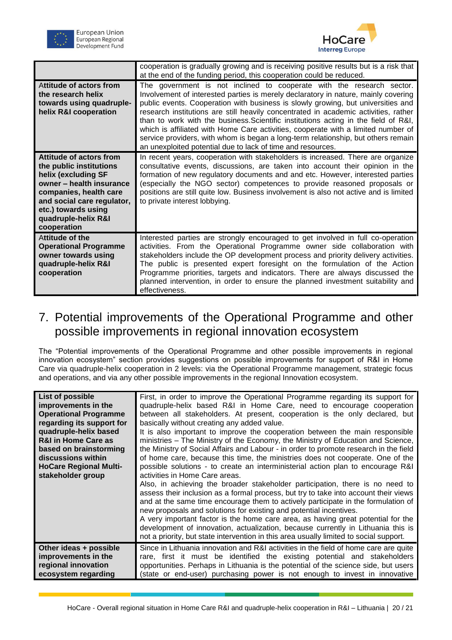



|                                                                                                                                                                                                                                   | cooperation is gradually growing and is receiving positive results but is a risk that<br>at the end of the funding period, this cooperation could be reduced.                                                                                                                                                                                                                                                                                                                                                                                                                                                                                                          |
|-----------------------------------------------------------------------------------------------------------------------------------------------------------------------------------------------------------------------------------|------------------------------------------------------------------------------------------------------------------------------------------------------------------------------------------------------------------------------------------------------------------------------------------------------------------------------------------------------------------------------------------------------------------------------------------------------------------------------------------------------------------------------------------------------------------------------------------------------------------------------------------------------------------------|
| Attitude of actors from<br>the research helix<br>towards using quadruple-<br>helix R&I cooperation                                                                                                                                | The government is not inclined to cooperate with the research sector.<br>Involvement of interested parties is merely declaratory in nature, mainly covering<br>public events. Cooperation with business is slowly growing, but universities and<br>research institutions are still heavily concentrated in academic activities, rather<br>than to work with the business. Scientific institutions acting in the field of R&I,<br>which is affiliated with Home Care activities, cooperate with a limited number of<br>service providers, with whom is began a long-term relationship, but others remain<br>an unexploited potential due to lack of time and resources. |
| <b>Attitude of actors from</b><br>the public institutions<br>helix (excluding SF<br>owner - health insurance<br>companies, health care<br>and social care regulator,<br>etc.) towards using<br>quadruple-helix R&I<br>cooperation | In recent years, cooperation with stakeholders is increased. There are organize<br>consultative events, discussions, are taken into account their opinion in the<br>formation of new regulatory documents and and etc. However, interested parties<br>(especially the NGO sector) competences to provide reasoned proposals or<br>positions are still quite low. Business involvement is also not active and is limited<br>to private interest lobbying.                                                                                                                                                                                                               |
| Attitude of the<br><b>Operational Programme</b><br>owner towards using<br>quadruple-helix R&I<br>cooperation                                                                                                                      | Interested parties are strongly encouraged to get involved in full co-operation<br>activities. From the Operational Programme owner side collaboration with<br>stakeholders include the OP development process and priority delivery activities.<br>The public is presented expert foresight on the formulation of the Action<br>Programme priorities, targets and indicators. There are always discussed the<br>planned intervention, in order to ensure the planned investment suitability and<br>effectiveness.                                                                                                                                                     |

# <span id="page-19-0"></span>7. Potential improvements of the Operational Programme and other possible improvements in regional innovation ecosystem

The "Potential improvements of the Operational Programme and other possible improvements in regional innovation ecosystem" section provides suggestions on possible improvements for support of R&I in Home Care via quadruple-helix cooperation in 2 levels: via the Operational Programme management, strategic focus and operations, and via any other possible improvements in the regional Innovation ecosystem.

| List of possible<br>improvements in the<br><b>Operational Programme</b><br>regarding its support for<br>quadruple-helix based<br><b>R&amp;I in Home Care as</b><br>based on brainstorming<br>discussions within<br><b>HoCare Regional Multi-</b><br>stakeholder group | First, in order to improve the Operational Programme regarding its support for<br>quadruple-helix based R&I in Home Care, need to encourage cooperation<br>between all stakeholders. At present, cooperation is the only declared, but<br>basically without creating any added value.<br>It is also important to improve the cooperation between the main responsible<br>ministries - The Ministry of the Economy, the Ministry of Education and Science,<br>the Ministry of Social Affairs and Labour - in order to promote research in the field<br>of home care, because this time, the ministries does not cooperate. One of the<br>possible solutions - to create an interministerial action plan to encourage R&I<br>activities in Home Care areas.<br>Also, in achieving the broader stakeholder participation, there is no need to<br>assess their inclusion as a formal process, but try to take into account their views<br>and at the same time encourage them to actively participate in the formulation of<br>new proposals and solutions for existing and potential incentives.<br>A very important factor is the home care area, as having great potential for the<br>development of innovation, actualization, because currently in Lithuania this is<br>not a priority, but state intervention in this area usually limited to social support. |
|-----------------------------------------------------------------------------------------------------------------------------------------------------------------------------------------------------------------------------------------------------------------------|-----------------------------------------------------------------------------------------------------------------------------------------------------------------------------------------------------------------------------------------------------------------------------------------------------------------------------------------------------------------------------------------------------------------------------------------------------------------------------------------------------------------------------------------------------------------------------------------------------------------------------------------------------------------------------------------------------------------------------------------------------------------------------------------------------------------------------------------------------------------------------------------------------------------------------------------------------------------------------------------------------------------------------------------------------------------------------------------------------------------------------------------------------------------------------------------------------------------------------------------------------------------------------------------------------------------------------------------------------------------|
| Other ideas + possible                                                                                                                                                                                                                                                | Since in Lithuania innovation and R&I activities in the field of home care are quite                                                                                                                                                                                                                                                                                                                                                                                                                                                                                                                                                                                                                                                                                                                                                                                                                                                                                                                                                                                                                                                                                                                                                                                                                                                                            |
| improvements in the                                                                                                                                                                                                                                                   | rare, first it must be identified the existing potential and stakeholders                                                                                                                                                                                                                                                                                                                                                                                                                                                                                                                                                                                                                                                                                                                                                                                                                                                                                                                                                                                                                                                                                                                                                                                                                                                                                       |
| regional innovation                                                                                                                                                                                                                                                   | opportunities. Perhaps in Lithuania is the potential of the science side, but users                                                                                                                                                                                                                                                                                                                                                                                                                                                                                                                                                                                                                                                                                                                                                                                                                                                                                                                                                                                                                                                                                                                                                                                                                                                                             |
| ecosystem regarding                                                                                                                                                                                                                                                   | (state or end-user) purchasing power is not enough to invest in innovative                                                                                                                                                                                                                                                                                                                                                                                                                                                                                                                                                                                                                                                                                                                                                                                                                                                                                                                                                                                                                                                                                                                                                                                                                                                                                      |